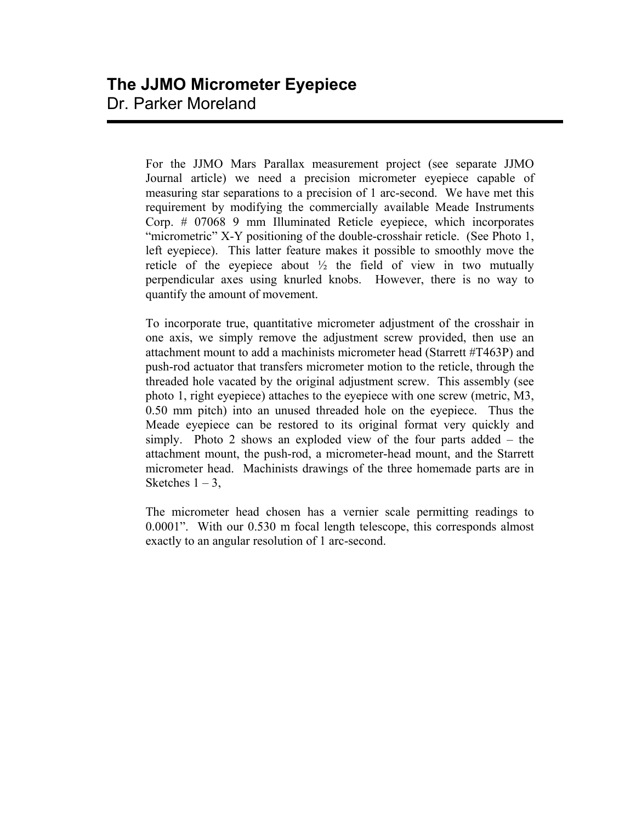For the JJMO Mars Parallax measurement project (see separate JJMO Journal article) we need a precision micrometer eyepiece capable of measuring star separations to a precision of 1 arc-second. We have met this requirement by modifying the commercially available Meade Instruments Corp. # 07068 9 mm Illuminated Reticle eyepiece, which incorporates "micrometric" X-Y positioning of the double-crosshair reticle. (See Photo 1, left eyepiece). This latter feature makes it possible to smoothly move the reticle of the eyepiece about  $\frac{1}{2}$  the field of view in two mutually perpendicular axes using knurled knobs. However, there is no way to quantify the amount of movement.

To incorporate true, quantitative micrometer adjustment of the crosshair in one axis, we simply remove the adjustment screw provided, then use an attachment mount to add a machinists micrometer head (Starrett #T463P) and push-rod actuator that transfers micrometer motion to the reticle, through the threaded hole vacated by the original adjustment screw. This assembly (see photo 1, right eyepiece) attaches to the eyepiece with one screw (metric, M3, 0.50 mm pitch) into an unused threaded hole on the eyepiece. Thus the Meade eyepiece can be restored to its original format very quickly and simply. Photo 2 shows an exploded view of the four parts added – the attachment mount, the push-rod, a micrometer-head mount, and the Starrett micrometer head. Machinists drawings of the three homemade parts are in Sketches  $1 - 3$ ,

The micrometer head chosen has a vernier scale permitting readings to 0.0001". With our 0.530 m focal length telescope, this corresponds almost exactly to an angular resolution of 1 arc-second.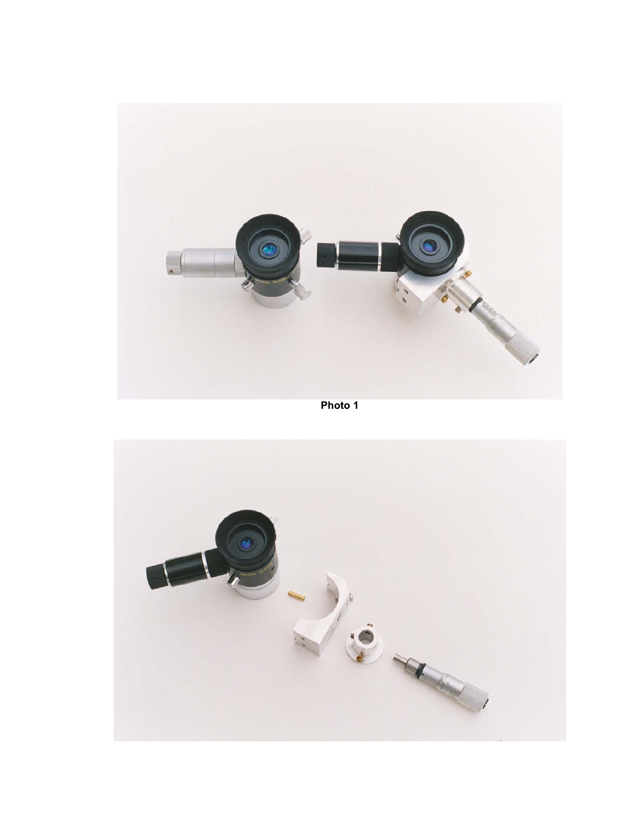

**Photo 1** 

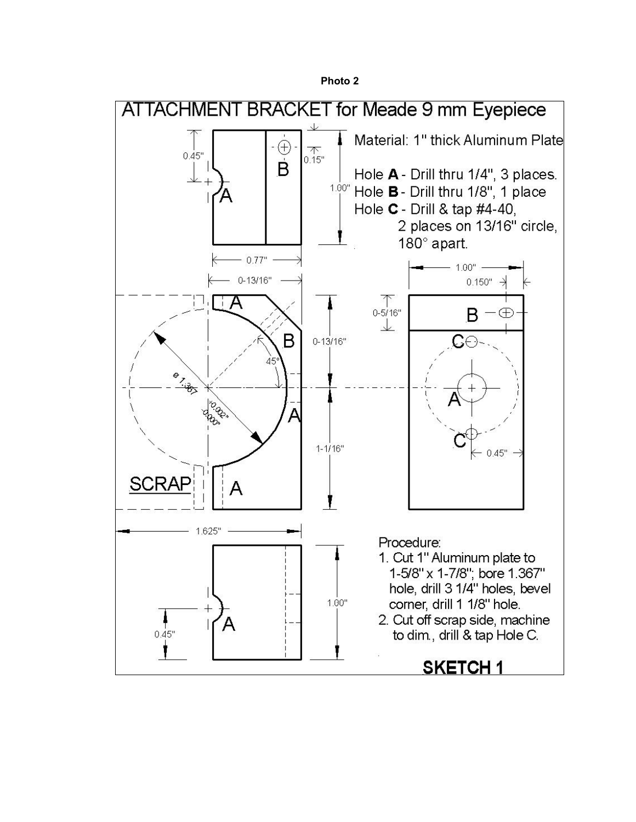**Photo 2** 

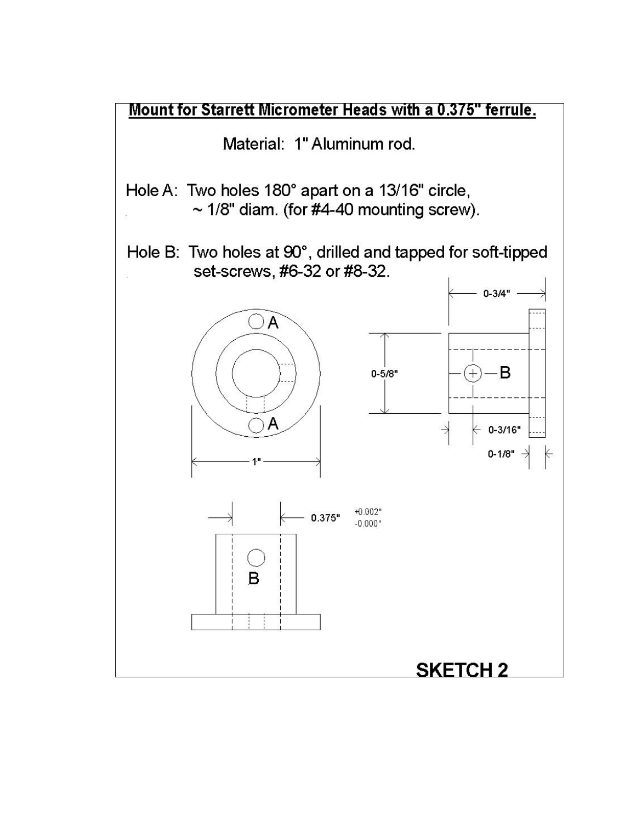